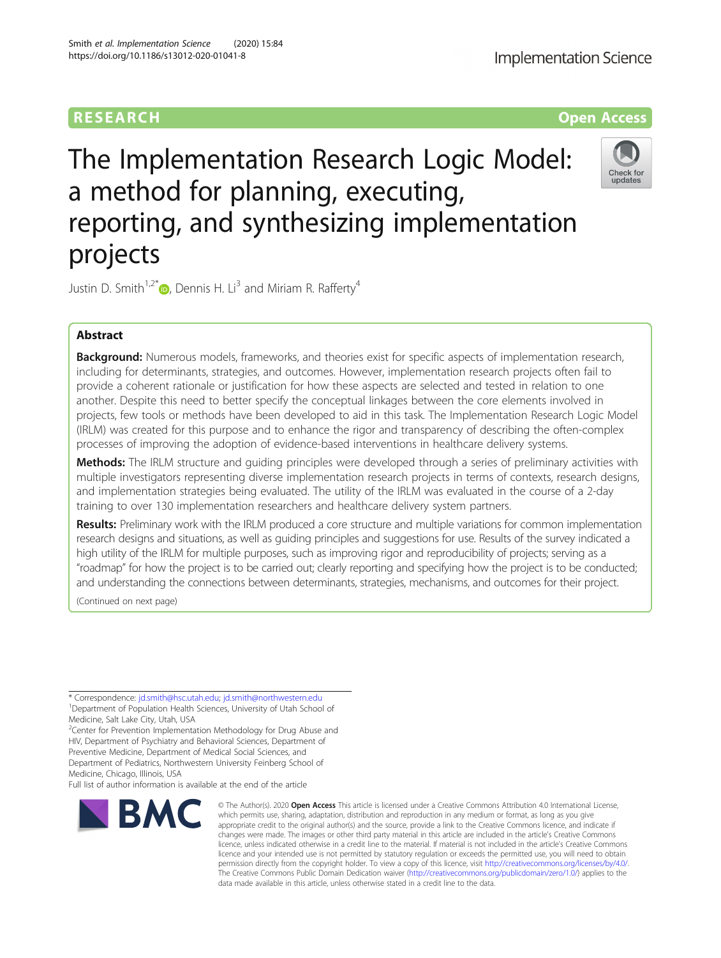# **RESEARCH CHILD CONTROL** CONTROL CONTROL CONTROL CONTROL CONTROL CONTROL CONTROL CONTROL CONTROL CONTROL CONTROL CONTROL CONTROL CONTROL CONTROL CONTROL CONTROL CONTROL CONTROL CONTROL CONTROL CONTROL CONTROL CONTROL CONTR

# The Implementation Research Logic Model: a method for planning, executing, reporting, and synthesizing implementation projects

Justin D. Smith<sup>1,2[\\*](http://orcid.org/0000-0003-3264-8082)</sup>  $\bullet$ , Dennis H. Li<sup>3</sup> and Miriam R. Rafferty<sup>4</sup>

## Abstract

**Background:** Numerous models, frameworks, and theories exist for specific aspects of implementation research, including for determinants, strategies, and outcomes. However, implementation research projects often fail to provide a coherent rationale or justification for how these aspects are selected and tested in relation to one another. Despite this need to better specify the conceptual linkages between the core elements involved in projects, few tools or methods have been developed to aid in this task. The Implementation Research Logic Model (IRLM) was created for this purpose and to enhance the rigor and transparency of describing the often-complex processes of improving the adoption of evidence-based interventions in healthcare delivery systems.

Methods: The IRLM structure and quiding principles were developed through a series of preliminary activities with multiple investigators representing diverse implementation research projects in terms of contexts, research designs, and implementation strategies being evaluated. The utility of the IRLM was evaluated in the course of a 2-day training to over 130 implementation researchers and healthcare delivery system partners.

Results: Preliminary work with the IRLM produced a core structure and multiple variations for common implementation research designs and situations, as well as guiding principles and suggestions for use. Results of the survey indicated a high utility of the IRLM for multiple purposes, such as improving rigor and reproducibility of projects; serving as a "roadmap" for how the project is to be carried out; clearly reporting and specifying how the project is to be conducted; and understanding the connections between determinants, strategies, mechanisms, and outcomes for their project.

(Continued on next page)

\* Correspondence: [jd.smith@hsc.utah.edu](mailto:jd.smith@hsc.utah.edu); [jd.smith@northwestern.edu](mailto:jd.smith@northwestern.edu) <sup>1</sup> <sup>1</sup>Department of Population Health Sciences, University of Utah School of Medicine, Salt Lake City, Utah, USA

<sup>2</sup> Center for Prevention Implementation Methodology for Drug Abuse and HIV, Department of Psychiatry and Behavioral Sciences, Department of Preventive Medicine, Department of Medical Social Sciences, and Department of Pediatrics, Northwestern University Feinberg School of Medicine, Chicago, Illinois, USA

Full list of author information is available at the end of the article





<sup>©</sup> The Author(s), 2020 **Open Access** This article is licensed under a Creative Commons Attribution 4.0 International License, which permits use, sharing, adaptation, distribution and reproduction in any medium or format, as long as you give appropriate credit to the original author(s) and the source, provide a link to the Creative Commons licence, and indicate if changes were made. The images or other third party material in this article are included in the article's Creative Commons licence, unless indicated otherwise in a credit line to the material. If material is not included in the article's Creative Commons licence and your intended use is not permitted by statutory regulation or exceeds the permitted use, you will need to obtain permission directly from the copyright holder. To view a copy of this licence, visit [http://creativecommons.org/licenses/by/4.0/.](http://creativecommons.org/licenses/by/4.0/) The Creative Commons Public Domain Dedication waiver [\(http://creativecommons.org/publicdomain/zero/1.0/](http://creativecommons.org/publicdomain/zero/1.0/)) applies to the data made available in this article, unless otherwise stated in a credit line to the data.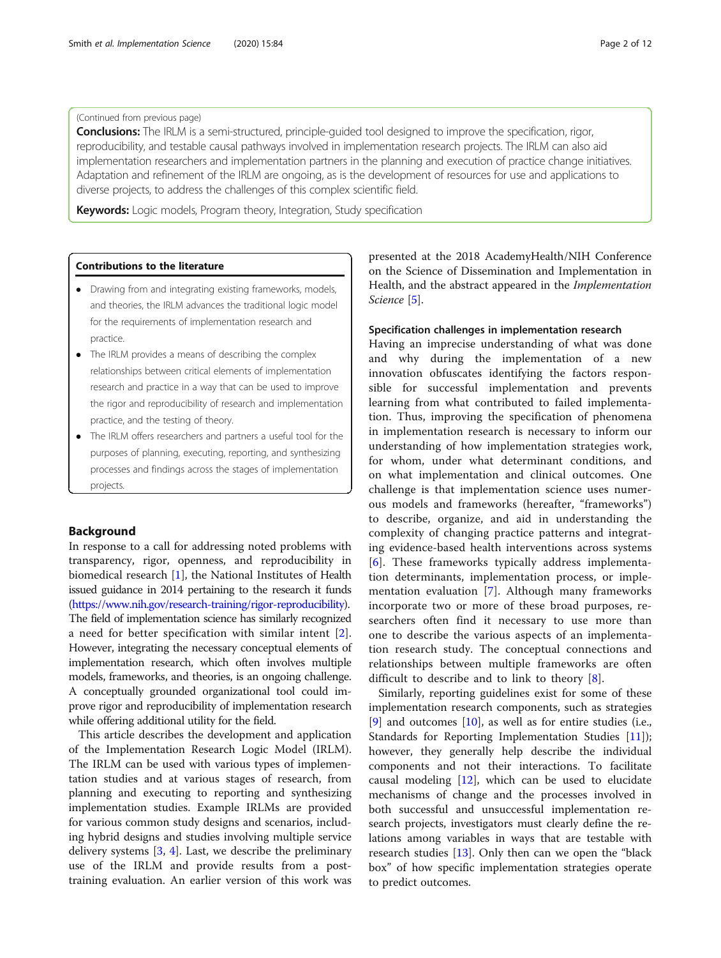#### (Continued from previous page)

Conclusions: The IRLM is a semi-structured, principle-guided tool designed to improve the specification, rigor, reproducibility, and testable causal pathways involved in implementation research projects. The IRLM can also aid implementation researchers and implementation partners in the planning and execution of practice change initiatives. Adaptation and refinement of the IRLM are ongoing, as is the development of resources for use and applications to diverse projects, to address the challenges of this complex scientific field.

Keywords: Logic models, Program theory, Integration, Study specification

#### Contributions to the literature

- Drawing from and integrating existing frameworks, models, and theories, the IRLM advances the traditional logic model for the requirements of implementation research and practice.
- The IRLM provides a means of describing the complex relationships between critical elements of implementation research and practice in a way that can be used to improve the rigor and reproducibility of research and implementation practice, and the testing of theory.
- The IRLM offers researchers and partners a useful tool for the purposes of planning, executing, reporting, and synthesizing processes and findings across the stages of implementation projects.

#### Background

In response to a call for addressing noted problems with transparency, rigor, openness, and reproducibility in biomedical research [[1\]](#page-10-0), the National Institutes of Health issued guidance in 2014 pertaining to the research it funds (<https://www.nih.gov/research-training/rigor-reproducibility>). The field of implementation science has similarly recognized a need for better specification with similar intent [[2](#page-10-0)]. However, integrating the necessary conceptual elements of implementation research, which often involves multiple models, frameworks, and theories, is an ongoing challenge. A conceptually grounded organizational tool could improve rigor and reproducibility of implementation research while offering additional utility for the field.

This article describes the development and application of the Implementation Research Logic Model (IRLM). The IRLM can be used with various types of implementation studies and at various stages of research, from planning and executing to reporting and synthesizing implementation studies. Example IRLMs are provided for various common study designs and scenarios, including hybrid designs and studies involving multiple service delivery systems [[3,](#page-10-0) [4\]](#page-10-0). Last, we describe the preliminary use of the IRLM and provide results from a posttraining evaluation. An earlier version of this work was

presented at the 2018 AcademyHealth/NIH Conference on the Science of Dissemination and Implementation in Health, and the abstract appeared in the Implementation Science [[5\]](#page-10-0).

#### Specification challenges in implementation research

Having an imprecise understanding of what was done and why during the implementation of a new innovation obfuscates identifying the factors responsible for successful implementation and prevents learning from what contributed to failed implementation. Thus, improving the specification of phenomena in implementation research is necessary to inform our understanding of how implementation strategies work, for whom, under what determinant conditions, and on what implementation and clinical outcomes. One challenge is that implementation science uses numerous models and frameworks (hereafter, "frameworks") to describe, organize, and aid in understanding the complexity of changing practice patterns and integrating evidence-based health interventions across systems [[6](#page-10-0)]. These frameworks typically address implementation determinants, implementation process, or implementation evaluation [[7](#page-10-0)]. Although many frameworks incorporate two or more of these broad purposes, researchers often find it necessary to use more than one to describe the various aspects of an implementation research study. The conceptual connections and relationships between multiple frameworks are often difficult to describe and to link to theory [[8](#page-10-0)].

Similarly, reporting guidelines exist for some of these implementation research components, such as strategies [[9\]](#page-10-0) and outcomes [[10\]](#page-10-0), as well as for entire studies (i.e., Standards for Reporting Implementation Studies [\[11](#page-10-0)]); however, they generally help describe the individual components and not their interactions. To facilitate causal modeling [\[12\]](#page-10-0), which can be used to elucidate mechanisms of change and the processes involved in both successful and unsuccessful implementation research projects, investigators must clearly define the relations among variables in ways that are testable with research studies [\[13\]](#page-10-0). Only then can we open the "black box" of how specific implementation strategies operate to predict outcomes.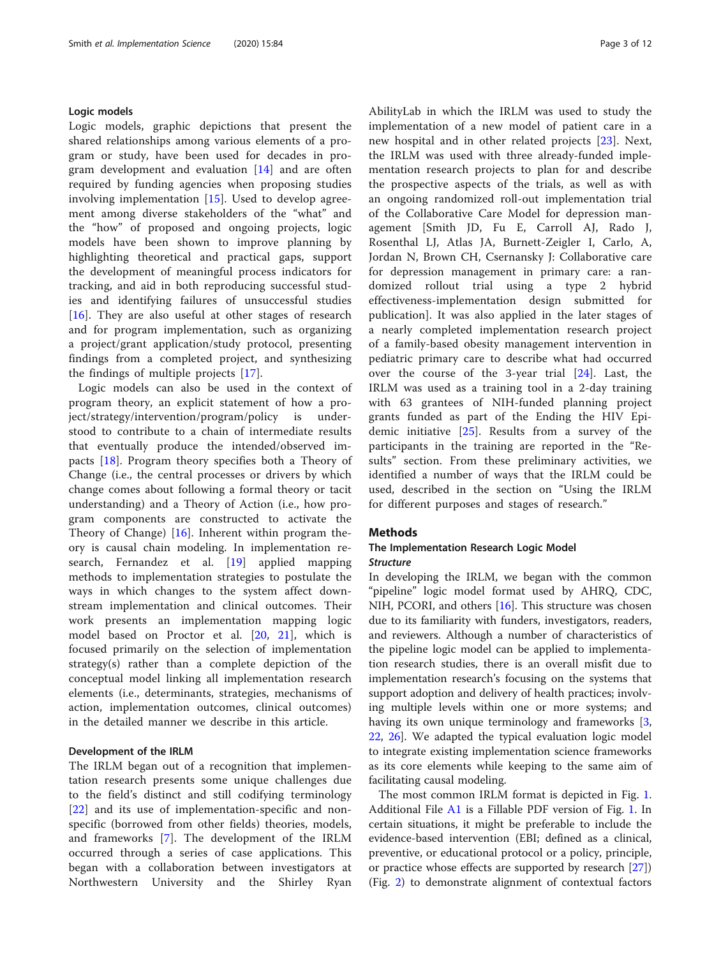#### Logic models

Logic models, graphic depictions that present the shared relationships among various elements of a program or study, have been used for decades in program development and evaluation [[14\]](#page-10-0) and are often required by funding agencies when proposing studies involving implementation [[15](#page-10-0)]. Used to develop agreement among diverse stakeholders of the "what" and the "how" of proposed and ongoing projects, logic models have been shown to improve planning by highlighting theoretical and practical gaps, support the development of meaningful process indicators for tracking, and aid in both reproducing successful studies and identifying failures of unsuccessful studies [[16\]](#page-10-0). They are also useful at other stages of research and for program implementation, such as organizing a project/grant application/study protocol, presenting findings from a completed project, and synthesizing the findings of multiple projects [[17\]](#page-10-0).

Logic models can also be used in the context of program theory, an explicit statement of how a project/strategy/intervention/program/policy is understood to contribute to a chain of intermediate results that eventually produce the intended/observed impacts [[18\]](#page-10-0). Program theory specifies both a Theory of Change (i.e., the central processes or drivers by which change comes about following a formal theory or tacit understanding) and a Theory of Action (i.e., how program components are constructed to activate the Theory of Change) [[16\]](#page-10-0). Inherent within program theory is causal chain modeling. In implementation research, Fernandez et al. [\[19](#page-10-0)] applied mapping methods to implementation strategies to postulate the ways in which changes to the system affect downstream implementation and clinical outcomes. Their work presents an implementation mapping logic model based on Proctor et al. [\[20](#page-10-0), [21\]](#page-10-0), which is focused primarily on the selection of implementation strategy(s) rather than a complete depiction of the conceptual model linking all implementation research elements (i.e., determinants, strategies, mechanisms of action, implementation outcomes, clinical outcomes) in the detailed manner we describe in this article.

#### Development of the IRLM

The IRLM began out of a recognition that implementation research presents some unique challenges due to the field's distinct and still codifying terminology [[22\]](#page-10-0) and its use of implementation-specific and nonspecific (borrowed from other fields) theories, models, and frameworks [[7\]](#page-10-0). The development of the IRLM occurred through a series of case applications. This began with a collaboration between investigators at Northwestern University and the Shirley Ryan AbilityLab in which the IRLM was used to study the implementation of a new model of patient care in a new hospital and in other related projects [\[23](#page-10-0)]. Next, the IRLM was used with three already-funded implementation research projects to plan for and describe the prospective aspects of the trials, as well as with an ongoing randomized roll-out implementation trial of the Collaborative Care Model for depression management [Smith JD, Fu E, Carroll AJ, Rado J, Rosenthal LJ, Atlas JA, Burnett-Zeigler I, Carlo, A, Jordan N, Brown CH, Csernansky J: Collaborative care for depression management in primary care: a randomized rollout trial using a type 2 hybrid effectiveness-implementation design submitted for publication]. It was also applied in the later stages of a nearly completed implementation research project of a family-based obesity management intervention in pediatric primary care to describe what had occurred over the course of the 3-year trial [\[24](#page-10-0)]. Last, the IRLM was used as a training tool in a 2-day training with 63 grantees of NIH-funded planning project grants funded as part of the Ending the HIV Epidemic initiative [\[25](#page-10-0)]. Results from a survey of the participants in the training are reported in the "Results" section. From these preliminary activities, we identified a number of ways that the IRLM could be used, described in the section on "Using the IRLM for different purposes and stages of research."

#### Methods

#### The Implementation Research Logic Model **Structure**

In developing the IRLM, we began with the common "pipeline" logic model format used by AHRQ, CDC, NIH, PCORI, and others [\[16](#page-10-0)]. This structure was chosen due to its familiarity with funders, investigators, readers, and reviewers. Although a number of characteristics of the pipeline logic model can be applied to implementation research studies, there is an overall misfit due to implementation research's focusing on the systems that support adoption and delivery of health practices; involving multiple levels within one or more systems; and having its own unique terminology and frameworks [\[3](#page-10-0), [22,](#page-10-0) [26\]](#page-11-0). We adapted the typical evaluation logic model to integrate existing implementation science frameworks as its core elements while keeping to the same aim of facilitating causal modeling.

The most common IRLM format is depicted in Fig. [1](#page-3-0). Additional File [A1](#page-9-0) is a Fillable PDF version of Fig. [1](#page-3-0). In certain situations, it might be preferable to include the evidence-based intervention (EBI; defined as a clinical, preventive, or educational protocol or a policy, principle, or practice whose effects are supported by research [\[27](#page-11-0)]) (Fig. [2\)](#page-3-0) to demonstrate alignment of contextual factors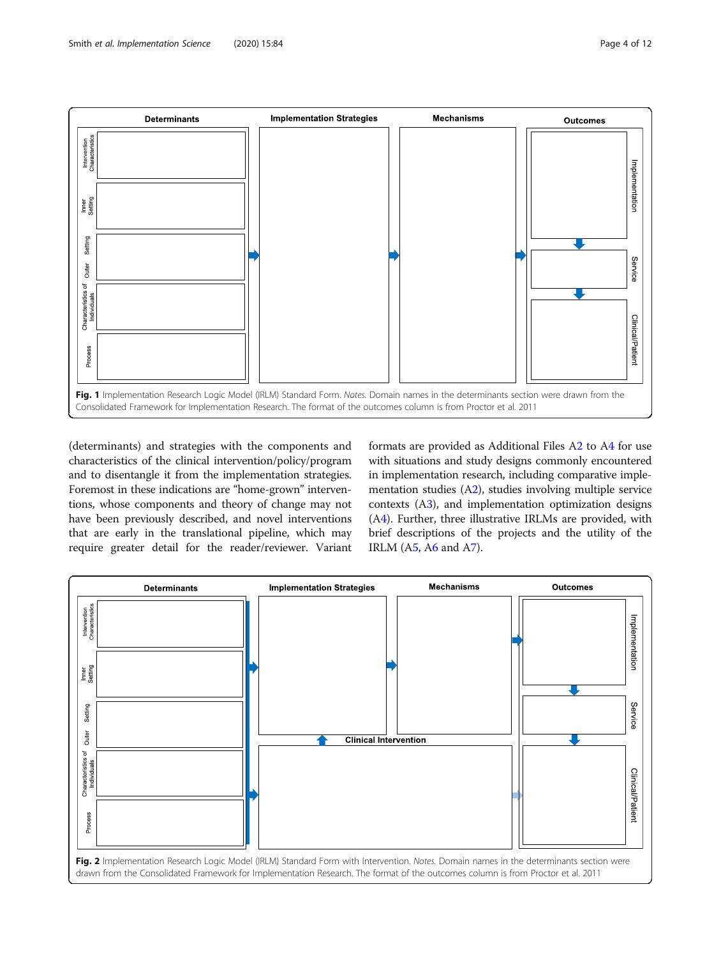<span id="page-3-0"></span>

(determinants) and strategies with the components and characteristics of the clinical intervention/policy/program and to disentangle it from the implementation strategies. Foremost in these indications are "home-grown" interventions, whose components and theory of change may not have been previously described, and novel interventions that are early in the translational pipeline, which may require greater detail for the reader/reviewer. Variant formats are provided as Additional Files A[2](#page-9-0) to A[4](#page-9-0) for use with situations and study designs commonly encountered in implementation research, including comparative implementation studies ([A2](#page-9-0)), studies involving multiple service contexts (A[3](#page-9-0)), and implementation optimization designs (A[4](#page-9-0)). Further, three illustrative IRLMs are provided, with brief descriptions of the projects and the utility of the IRLM ([A5,](#page-9-0) [A6](#page-9-0) and [A7\)](#page-9-0).

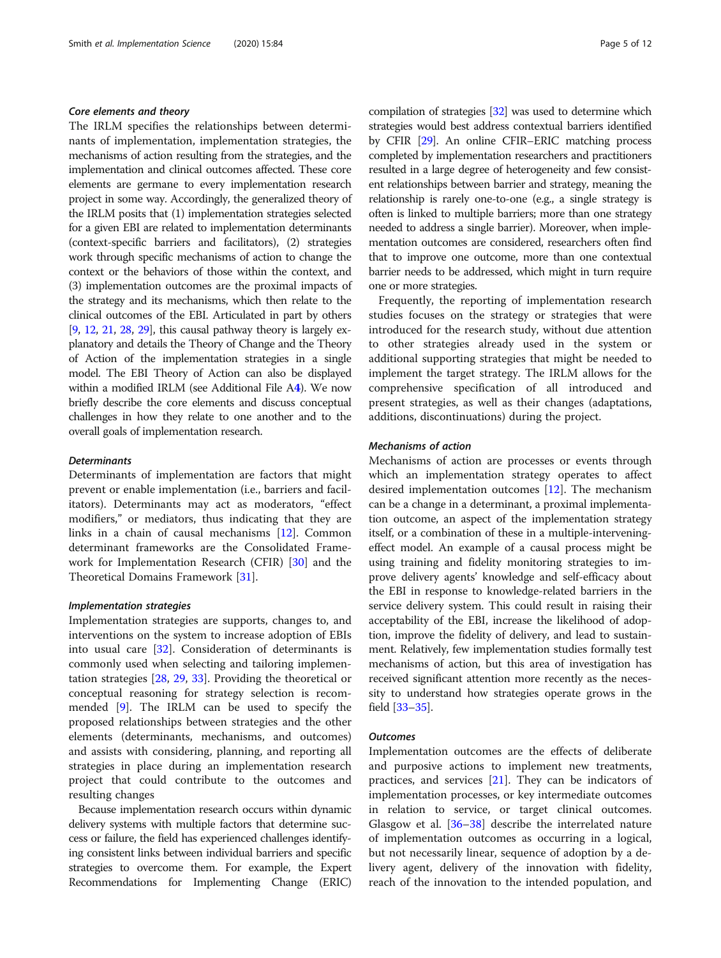#### Core elements and theory

The IRLM specifies the relationships between determinants of implementation, implementation strategies, the mechanisms of action resulting from the strategies, and the implementation and clinical outcomes affected. These core elements are germane to every implementation research project in some way. Accordingly, the generalized theory of the IRLM posits that (1) implementation strategies selected for a given EBI are related to implementation determinants (context-specific barriers and facilitators), (2) strategies work through specific mechanisms of action to change the context or the behaviors of those within the context, and (3) implementation outcomes are the proximal impacts of the strategy and its mechanisms, which then relate to the clinical outcomes of the EBI. Articulated in part by others [[9](#page-10-0), [12](#page-10-0), [21,](#page-10-0) [28,](#page-11-0) [29](#page-11-0)], this causal pathway theory is largely explanatory and details the Theory of Change and the Theory of Action of the implementation strategies in a single model. The EBI Theory of Action can also be displayed within a modified IRLM (see Additional File A[4](#page-9-0)). We now briefly describe the core elements and discuss conceptual challenges in how they relate to one another and to the overall goals of implementation research.

#### **Determinants**

Determinants of implementation are factors that might prevent or enable implementation (i.e., barriers and facilitators). Determinants may act as moderators, "effect modifiers," or mediators, thus indicating that they are links in a chain of causal mechanisms [[12\]](#page-10-0). Common determinant frameworks are the Consolidated Framework for Implementation Research (CFIR) [[30](#page-11-0)] and the Theoretical Domains Framework [\[31\]](#page-11-0).

#### Implementation strategies

Implementation strategies are supports, changes to, and interventions on the system to increase adoption of EBIs into usual care [[32](#page-11-0)]. Consideration of determinants is commonly used when selecting and tailoring implementation strategies [\[28,](#page-11-0) [29](#page-11-0), [33](#page-11-0)]. Providing the theoretical or conceptual reasoning for strategy selection is recommended [[9\]](#page-10-0). The IRLM can be used to specify the proposed relationships between strategies and the other elements (determinants, mechanisms, and outcomes) and assists with considering, planning, and reporting all strategies in place during an implementation research project that could contribute to the outcomes and resulting changes

Because implementation research occurs within dynamic delivery systems with multiple factors that determine success or failure, the field has experienced challenges identifying consistent links between individual barriers and specific strategies to overcome them. For example, the Expert Recommendations for Implementing Change (ERIC) compilation of strategies [\[32\]](#page-11-0) was used to determine which strategies would best address contextual barriers identified by CFIR [\[29](#page-11-0)]. An online CFIR–ERIC matching process completed by implementation researchers and practitioners resulted in a large degree of heterogeneity and few consistent relationships between barrier and strategy, meaning the relationship is rarely one-to-one (e.g., a single strategy is often is linked to multiple barriers; more than one strategy needed to address a single barrier). Moreover, when implementation outcomes are considered, researchers often find that to improve one outcome, more than one contextual barrier needs to be addressed, which might in turn require one or more strategies.

Frequently, the reporting of implementation research studies focuses on the strategy or strategies that were introduced for the research study, without due attention to other strategies already used in the system or additional supporting strategies that might be needed to implement the target strategy. The IRLM allows for the comprehensive specification of all introduced and present strategies, as well as their changes (adaptations, additions, discontinuations) during the project.

#### Mechanisms of action

Mechanisms of action are processes or events through which an implementation strategy operates to affect desired implementation outcomes [[12\]](#page-10-0). The mechanism can be a change in a determinant, a proximal implementation outcome, an aspect of the implementation strategy itself, or a combination of these in a multiple-interveningeffect model. An example of a causal process might be using training and fidelity monitoring strategies to improve delivery agents' knowledge and self-efficacy about the EBI in response to knowledge-related barriers in the service delivery system. This could result in raising their acceptability of the EBI, increase the likelihood of adoption, improve the fidelity of delivery, and lead to sustainment. Relatively, few implementation studies formally test mechanisms of action, but this area of investigation has received significant attention more recently as the necessity to understand how strategies operate grows in the field [[33](#page-11-0)–[35\]](#page-11-0).

#### **Outcomes**

Implementation outcomes are the effects of deliberate and purposive actions to implement new treatments, practices, and services [[21\]](#page-10-0). They can be indicators of implementation processes, or key intermediate outcomes in relation to service, or target clinical outcomes. Glasgow et al. [\[36](#page-11-0)–[38\]](#page-11-0) describe the interrelated nature of implementation outcomes as occurring in a logical, but not necessarily linear, sequence of adoption by a delivery agent, delivery of the innovation with fidelity, reach of the innovation to the intended population, and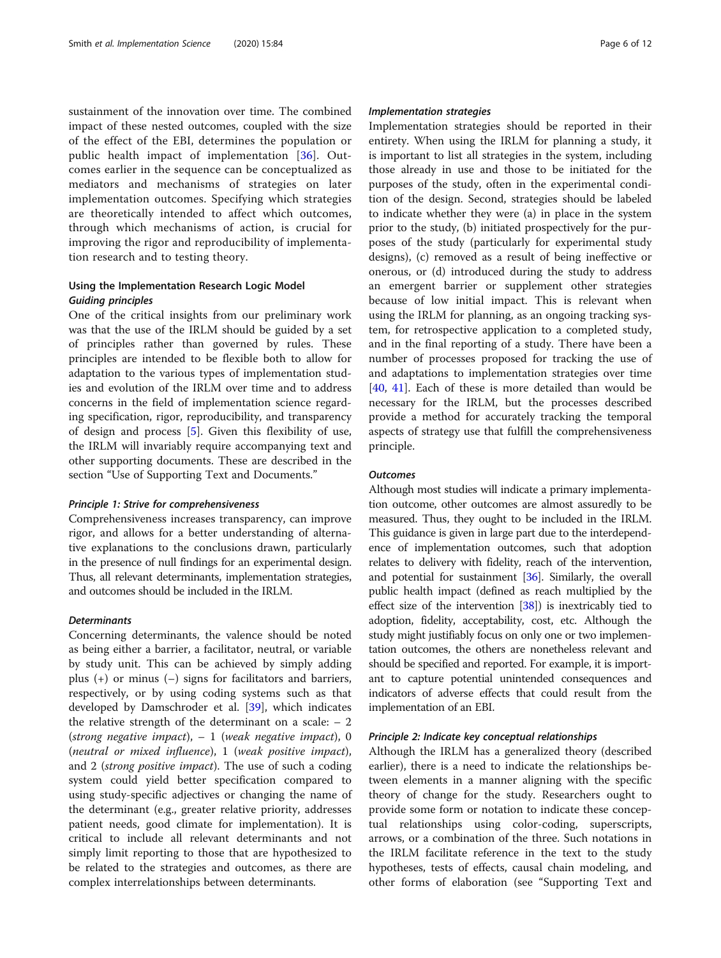sustainment of the innovation over time. The combined impact of these nested outcomes, coupled with the size of the effect of the EBI, determines the population or public health impact of implementation [[36](#page-11-0)]. Outcomes earlier in the sequence can be conceptualized as mediators and mechanisms of strategies on later implementation outcomes. Specifying which strategies are theoretically intended to affect which outcomes, through which mechanisms of action, is crucial for improving the rigor and reproducibility of implementation research and to testing theory.

#### Using the Implementation Research Logic Model Guiding principles

One of the critical insights from our preliminary work was that the use of the IRLM should be guided by a set of principles rather than governed by rules. These principles are intended to be flexible both to allow for adaptation to the various types of implementation studies and evolution of the IRLM over time and to address concerns in the field of implementation science regarding specification, rigor, reproducibility, and transparency of design and process [\[5](#page-10-0)]. Given this flexibility of use, the IRLM will invariably require accompanying text and other supporting documents. These are described in the section "Use of Supporting Text and Documents."

#### Principle 1: Strive for comprehensiveness

Comprehensiveness increases transparency, can improve rigor, and allows for a better understanding of alternative explanations to the conclusions drawn, particularly in the presence of null findings for an experimental design. Thus, all relevant determinants, implementation strategies, and outcomes should be included in the IRLM.

#### **Determinants**

Concerning determinants, the valence should be noted as being either a barrier, a facilitator, neutral, or variable by study unit. This can be achieved by simply adding plus (+) or minus (–) signs for facilitators and barriers, respectively, or by using coding systems such as that developed by Damschroder et al. [[39\]](#page-11-0), which indicates the relative strength of the determinant on a scale:  $-2$ (strong negative impact),  $-1$  (weak negative impact), 0 (neutral or mixed influence), 1 (weak positive impact), and 2 (strong positive impact). The use of such a coding system could yield better specification compared to using study-specific adjectives or changing the name of the determinant (e.g., greater relative priority, addresses patient needs, good climate for implementation). It is critical to include all relevant determinants and not simply limit reporting to those that are hypothesized to be related to the strategies and outcomes, as there are complex interrelationships between determinants.

#### Implementation strategies

Implementation strategies should be reported in their entirety. When using the IRLM for planning a study, it is important to list all strategies in the system, including those already in use and those to be initiated for the purposes of the study, often in the experimental condition of the design. Second, strategies should be labeled to indicate whether they were (a) in place in the system prior to the study, (b) initiated prospectively for the purposes of the study (particularly for experimental study designs), (c) removed as a result of being ineffective or onerous, or (d) introduced during the study to address an emergent barrier or supplement other strategies because of low initial impact. This is relevant when using the IRLM for planning, as an ongoing tracking system, for retrospective application to a completed study, and in the final reporting of a study. There have been a number of processes proposed for tracking the use of and adaptations to implementation strategies over time [[40,](#page-11-0) [41\]](#page-11-0). Each of these is more detailed than would be necessary for the IRLM, but the processes described provide a method for accurately tracking the temporal aspects of strategy use that fulfill the comprehensiveness principle.

#### **Outcomes**

Although most studies will indicate a primary implementation outcome, other outcomes are almost assuredly to be measured. Thus, they ought to be included in the IRLM. This guidance is given in large part due to the interdependence of implementation outcomes, such that adoption relates to delivery with fidelity, reach of the intervention, and potential for sustainment [[36](#page-11-0)]. Similarly, the overall public health impact (defined as reach multiplied by the effect size of the intervention [\[38\]](#page-11-0)) is inextricably tied to adoption, fidelity, acceptability, cost, etc. Although the study might justifiably focus on only one or two implementation outcomes, the others are nonetheless relevant and should be specified and reported. For example, it is important to capture potential unintended consequences and indicators of adverse effects that could result from the implementation of an EBI.

#### Principle 2: Indicate key conceptual relationships

Although the IRLM has a generalized theory (described earlier), there is a need to indicate the relationships between elements in a manner aligning with the specific theory of change for the study. Researchers ought to provide some form or notation to indicate these conceptual relationships using color-coding, superscripts, arrows, or a combination of the three. Such notations in the IRLM facilitate reference in the text to the study hypotheses, tests of effects, causal chain modeling, and other forms of elaboration (see "Supporting Text and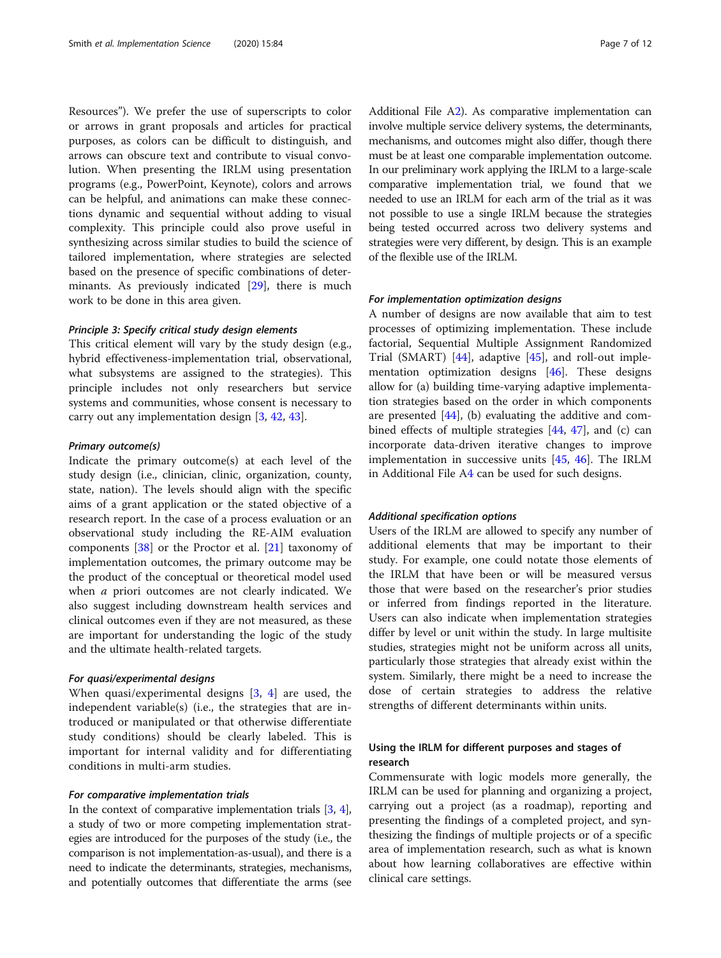Resources"). We prefer the use of superscripts to color or arrows in grant proposals and articles for practical purposes, as colors can be difficult to distinguish, and arrows can obscure text and contribute to visual convolution. When presenting the IRLM using presentation programs (e.g., PowerPoint, Keynote), colors and arrows can be helpful, and animations can make these connections dynamic and sequential without adding to visual complexity. This principle could also prove useful in synthesizing across similar studies to build the science of tailored implementation, where strategies are selected based on the presence of specific combinations of determinants. As previously indicated [[29](#page-11-0)], there is much work to be done in this area given.

#### Principle 3: Specify critical study design elements

This critical element will vary by the study design (e.g., hybrid effectiveness-implementation trial, observational, what subsystems are assigned to the strategies). This principle includes not only researchers but service systems and communities, whose consent is necessary to carry out any implementation design [[3,](#page-10-0) [42,](#page-11-0) [43](#page-11-0)].

#### Primary outcome(s)

Indicate the primary outcome(s) at each level of the study design (i.e., clinician, clinic, organization, county, state, nation). The levels should align with the specific aims of a grant application or the stated objective of a research report. In the case of a process evaluation or an observational study including the RE-AIM evaluation components  $[38]$  $[38]$  or the Proctor et al.  $[21]$  $[21]$  taxonomy of implementation outcomes, the primary outcome may be the product of the conceptual or theoretical model used when *a* priori outcomes are not clearly indicated. We also suggest including downstream health services and clinical outcomes even if they are not measured, as these are important for understanding the logic of the study and the ultimate health-related targets.

#### For quasi/experimental designs

When quasi/experimental designs [\[3](#page-10-0), [4](#page-10-0)] are used, the independent variable(s) (i.e., the strategies that are introduced or manipulated or that otherwise differentiate study conditions) should be clearly labeled. This is important for internal validity and for differentiating conditions in multi-arm studies.

#### For comparative implementation trials

In the context of comparative implementation trials [[3](#page-10-0), [4](#page-10-0)], a study of two or more competing implementation strategies are introduced for the purposes of the study (i.e., the comparison is not implementation-as-usual), and there is a need to indicate the determinants, strategies, mechanisms, and potentially outcomes that differentiate the arms (see

Additional File [A2\)](#page-9-0). As comparative implementation can involve multiple service delivery systems, the determinants, mechanisms, and outcomes might also differ, though there must be at least one comparable implementation outcome. In our preliminary work applying the IRLM to a large-scale comparative implementation trial, we found that we needed to use an IRLM for each arm of the trial as it was not possible to use a single IRLM because the strategies being tested occurred across two delivery systems and strategies were very different, by design. This is an example of the flexible use of the IRLM.

#### For implementation optimization designs

A number of designs are now available that aim to test processes of optimizing implementation. These include factorial, Sequential Multiple Assignment Randomized Trial (SMART) [\[44](#page-11-0)], adaptive [\[45](#page-11-0)], and roll-out implementation optimization designs [[46\]](#page-11-0). These designs allow for (a) building time-varying adaptive implementation strategies based on the order in which components are presented [\[44](#page-11-0)], (b) evaluating the additive and combined effects of multiple strategies [[44,](#page-11-0) [47\]](#page-11-0), and (c) can incorporate data-driven iterative changes to improve implementation in successive units [[45,](#page-11-0) [46\]](#page-11-0). The IRLM in Additional File [A4](#page-9-0) can be used for such designs.

#### Additional specification options

Users of the IRLM are allowed to specify any number of additional elements that may be important to their study. For example, one could notate those elements of the IRLM that have been or will be measured versus those that were based on the researcher's prior studies or inferred from findings reported in the literature. Users can also indicate when implementation strategies differ by level or unit within the study. In large multisite studies, strategies might not be uniform across all units, particularly those strategies that already exist within the system. Similarly, there might be a need to increase the dose of certain strategies to address the relative strengths of different determinants within units.

#### Using the IRLM for different purposes and stages of research

Commensurate with logic models more generally, the IRLM can be used for planning and organizing a project, carrying out a project (as a roadmap), reporting and presenting the findings of a completed project, and synthesizing the findings of multiple projects or of a specific area of implementation research, such as what is known about how learning collaboratives are effective within clinical care settings.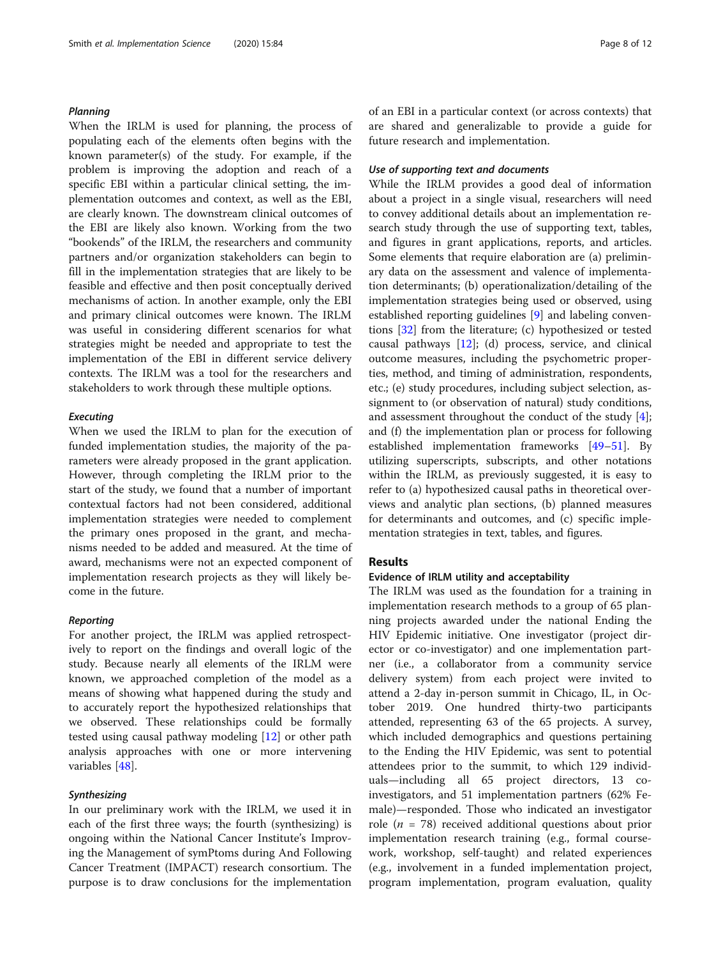#### Planning

When the IRLM is used for planning, the process of populating each of the elements often begins with the known parameter(s) of the study. For example, if the problem is improving the adoption and reach of a specific EBI within a particular clinical setting, the implementation outcomes and context, as well as the EBI, are clearly known. The downstream clinical outcomes of the EBI are likely also known. Working from the two "bookends" of the IRLM, the researchers and community partners and/or organization stakeholders can begin to fill in the implementation strategies that are likely to be feasible and effective and then posit conceptually derived mechanisms of action. In another example, only the EBI and primary clinical outcomes were known. The IRLM was useful in considering different scenarios for what strategies might be needed and appropriate to test the implementation of the EBI in different service delivery contexts. The IRLM was a tool for the researchers and stakeholders to work through these multiple options.

#### Executing

When we used the IRLM to plan for the execution of funded implementation studies, the majority of the parameters were already proposed in the grant application. However, through completing the IRLM prior to the start of the study, we found that a number of important contextual factors had not been considered, additional implementation strategies were needed to complement the primary ones proposed in the grant, and mechanisms needed to be added and measured. At the time of award, mechanisms were not an expected component of implementation research projects as they will likely become in the future.

#### **Reporting**

For another project, the IRLM was applied retrospectively to report on the findings and overall logic of the study. Because nearly all elements of the IRLM were known, we approached completion of the model as a means of showing what happened during the study and to accurately report the hypothesized relationships that we observed. These relationships could be formally tested using causal pathway modeling [\[12\]](#page-10-0) or other path analysis approaches with one or more intervening variables [\[48\]](#page-11-0).

#### Synthesizing

In our preliminary work with the IRLM, we used it in each of the first three ways; the fourth (synthesizing) is ongoing within the National Cancer Institute's Improving the Management of symPtoms during And Following Cancer Treatment (IMPACT) research consortium. The purpose is to draw conclusions for the implementation of an EBI in a particular context (or across contexts) that are shared and generalizable to provide a guide for future research and implementation.

#### Use of supporting text and documents

While the IRLM provides a good deal of information about a project in a single visual, researchers will need to convey additional details about an implementation research study through the use of supporting text, tables, and figures in grant applications, reports, and articles. Some elements that require elaboration are (a) preliminary data on the assessment and valence of implementation determinants; (b) operationalization/detailing of the implementation strategies being used or observed, using established reporting guidelines [\[9](#page-10-0)] and labeling conventions [[32](#page-11-0)] from the literature; (c) hypothesized or tested causal pathways [\[12](#page-10-0)]; (d) process, service, and clinical outcome measures, including the psychometric properties, method, and timing of administration, respondents, etc.; (e) study procedures, including subject selection, assignment to (or observation of natural) study conditions, and assessment throughout the conduct of the study [\[4](#page-10-0)]; and (f) the implementation plan or process for following established implementation frameworks [\[49](#page-11-0)–[51\]](#page-11-0). By utilizing superscripts, subscripts, and other notations within the IRLM, as previously suggested, it is easy to refer to (a) hypothesized causal paths in theoretical overviews and analytic plan sections, (b) planned measures for determinants and outcomes, and (c) specific implementation strategies in text, tables, and figures.

### Results

#### Evidence of IRLM utility and acceptability

The IRLM was used as the foundation for a training in implementation research methods to a group of 65 planning projects awarded under the national Ending the HIV Epidemic initiative. One investigator (project director or co-investigator) and one implementation partner (i.e., a collaborator from a community service delivery system) from each project were invited to attend a 2-day in-person summit in Chicago, IL, in October 2019. One hundred thirty-two participants attended, representing 63 of the 65 projects. A survey, which included demographics and questions pertaining to the Ending the HIV Epidemic, was sent to potential attendees prior to the summit, to which 129 individuals—including all 65 project directors, 13 coinvestigators, and 51 implementation partners (62% Female)—responded. Those who indicated an investigator role ( $n = 78$ ) received additional questions about prior implementation research training (e.g., formal coursework, workshop, self-taught) and related experiences (e.g., involvement in a funded implementation project, program implementation, program evaluation, quality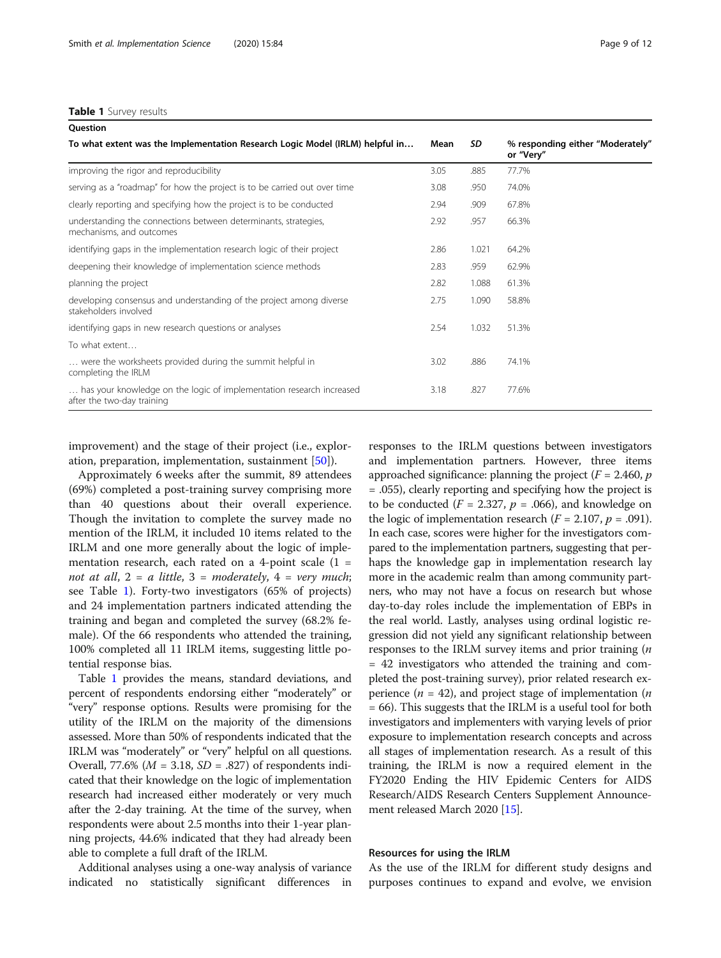Question

| <b>Question</b>                                                                                    |      |       |                                               |
|----------------------------------------------------------------------------------------------------|------|-------|-----------------------------------------------|
| To what extent was the Implementation Research Logic Model (IRLM) helpful in                       | Mean | SD    | % responding either "Moderately"<br>or "Very" |
| improving the rigor and reproducibility                                                            | 3.05 | .885  | 77.7%                                         |
| serving as a "roadmap" for how the project is to be carried out over time                          | 3.08 | .950  | 74.0%                                         |
| clearly reporting and specifying how the project is to be conducted                                | 2.94 | .909  | 67.8%                                         |
| understanding the connections between determinants, strategies,<br>mechanisms, and outcomes        | 2.92 | .957  | 66.3%                                         |
| identifying gaps in the implementation research logic of their project                             | 2.86 | 1.021 | 64.2%                                         |
| deepening their knowledge of implementation science methods                                        | 2.83 | .959  | 62.9%                                         |
| planning the project                                                                               | 2.82 | 1.088 | 61.3%                                         |
| developing consensus and understanding of the project among diverse<br>stakeholders involved       | 2.75 | 1.090 | 58.8%                                         |
| identifying gaps in new research questions or analyses                                             | 2.54 | 1.032 | 51.3%                                         |
| To what extent                                                                                     |      |       |                                               |
| were the worksheets provided during the summit helpful in<br>completing the IRLM                   | 3.02 | .886  | 74.1%                                         |
| has your knowledge on the logic of implementation research increased<br>after the two-day training | 3.18 | .827  | 77.6%                                         |

improvement) and the stage of their project (i.e., exploration, preparation, implementation, sustainment [\[50](#page-11-0)]).

Approximately 6 weeks after the summit, 89 attendees (69%) completed a post-training survey comprising more than 40 questions about their overall experience. Though the invitation to complete the survey made no mention of the IRLM, it included 10 items related to the IRLM and one more generally about the logic of implementation research, each rated on a 4-point scale  $(1 =$ not at all,  $2 = a$  little,  $3 =$  moderately,  $4 =$  very much; see Table 1). Forty-two investigators (65% of projects) and 24 implementation partners indicated attending the training and began and completed the survey (68.2% female). Of the 66 respondents who attended the training, 100% completed all 11 IRLM items, suggesting little potential response bias.

Table 1 provides the means, standard deviations, and percent of respondents endorsing either "moderately" or "very" response options. Results were promising for the utility of the IRLM on the majority of the dimensions assessed. More than 50% of respondents indicated that the IRLM was "moderately" or "very" helpful on all questions. Overall, 77.6% ( $M = 3.18$ ,  $SD = .827$ ) of respondents indicated that their knowledge on the logic of implementation research had increased either moderately or very much after the 2-day training. At the time of the survey, when respondents were about 2.5 months into their 1-year planning projects, 44.6% indicated that they had already been able to complete a full draft of the IRLM.

Additional analyses using a one-way analysis of variance indicated no statistically significant differences in

responses to the IRLM questions between investigators and implementation partners. However, three items approached significance: planning the project ( $F = 2.460$ ,  $p$ ) = .055), clearly reporting and specifying how the project is to be conducted ( $F = 2.327$ ,  $p = .066$ ), and knowledge on the logic of implementation research ( $F = 2.107$ ,  $p = .091$ ). In each case, scores were higher for the investigators compared to the implementation partners, suggesting that perhaps the knowledge gap in implementation research lay more in the academic realm than among community partners, who may not have a focus on research but whose day-to-day roles include the implementation of EBPs in the real world. Lastly, analyses using ordinal logistic regression did not yield any significant relationship between responses to the IRLM survey items and prior training (n = 42 investigators who attended the training and completed the post-training survey), prior related research experience ( $n = 42$ ), and project stage of implementation ( $n$ ) = 66). This suggests that the IRLM is a useful tool for both investigators and implementers with varying levels of prior exposure to implementation research concepts and across all stages of implementation research. As a result of this training, the IRLM is now a required element in the FY2020 Ending the HIV Epidemic Centers for AIDS Research/AIDS Research Centers Supplement Announcement released March 2020 [\[15\]](#page-10-0).

#### Resources for using the IRLM

As the use of the IRLM for different study designs and purposes continues to expand and evolve, we envision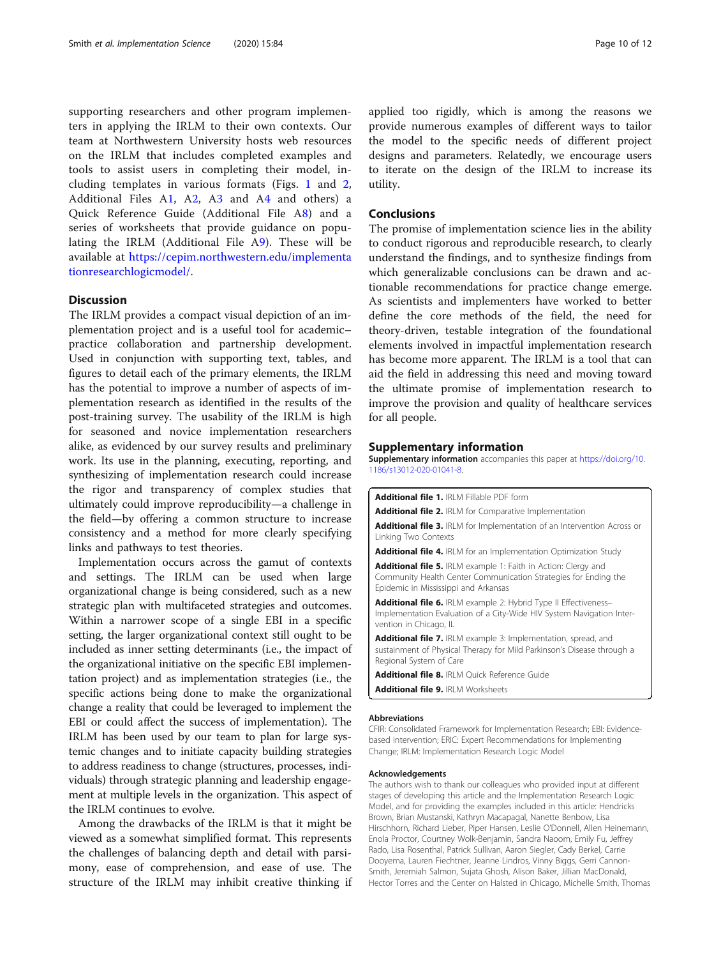<span id="page-9-0"></span>supporting researchers and other program implementers in applying the IRLM to their own contexts. Our team at Northwestern University hosts web resources on the IRLM that includes completed examples and tools to assist users in completing their model, including templates in various formats (Figs. [1](#page-3-0) and [2](#page-3-0), Additional Files A1, A2, A3 and A4 and others) a Quick Reference Guide (Additional File A8) and a series of worksheets that provide guidance on populating the IRLM (Additional File A9). These will be available at [https://cepim.northwestern.edu/implementa](https://cepim.northwestern.edu/implementationresearchlogicmodel/) [tionresearchlogicmodel/](https://cepim.northwestern.edu/implementationresearchlogicmodel/).

#### **Discussion**

The IRLM provides a compact visual depiction of an implementation project and is a useful tool for academic– practice collaboration and partnership development. Used in conjunction with supporting text, tables, and figures to detail each of the primary elements, the IRLM has the potential to improve a number of aspects of implementation research as identified in the results of the post-training survey. The usability of the IRLM is high for seasoned and novice implementation researchers alike, as evidenced by our survey results and preliminary work. Its use in the planning, executing, reporting, and synthesizing of implementation research could increase the rigor and transparency of complex studies that ultimately could improve reproducibility—a challenge in the field—by offering a common structure to increase consistency and a method for more clearly specifying links and pathways to test theories.

Implementation occurs across the gamut of contexts and settings. The IRLM can be used when large organizational change is being considered, such as a new strategic plan with multifaceted strategies and outcomes. Within a narrower scope of a single EBI in a specific setting, the larger organizational context still ought to be included as inner setting determinants (i.e., the impact of the organizational initiative on the specific EBI implementation project) and as implementation strategies (i.e., the specific actions being done to make the organizational change a reality that could be leveraged to implement the EBI or could affect the success of implementation). The IRLM has been used by our team to plan for large systemic changes and to initiate capacity building strategies to address readiness to change (structures, processes, individuals) through strategic planning and leadership engagement at multiple levels in the organization. This aspect of the IRLM continues to evolve.

Among the drawbacks of the IRLM is that it might be viewed as a somewhat simplified format. This represents the challenges of balancing depth and detail with parsimony, ease of comprehension, and ease of use. The structure of the IRLM may inhibit creative thinking if applied too rigidly, which is among the reasons we provide numerous examples of different ways to tailor the model to the specific needs of different project designs and parameters. Relatedly, we encourage users to iterate on the design of the IRLM to increase its utility.

#### **Conclusions**

The promise of implementation science lies in the ability to conduct rigorous and reproducible research, to clearly understand the findings, and to synthesize findings from which generalizable conclusions can be drawn and actionable recommendations for practice change emerge. As scientists and implementers have worked to better define the core methods of the field, the need for theory-driven, testable integration of the foundational elements involved in impactful implementation research has become more apparent. The IRLM is a tool that can aid the field in addressing this need and moving toward the ultimate promise of implementation research to improve the provision and quality of healthcare services for all people.

#### Supplementary information

Supplementary information accompanies this paper at [https://doi.org/10.](https://doi.org/10.1186/s13012-020-01041-8) [1186/s13012-020-01041-8](https://doi.org/10.1186/s13012-020-01041-8).

Additional file 1. IRLM Fillable PDF form Additional file 2. IRLM for Comparative Implementation Additional file 3. IRLM for Implementation of an Intervention Across or Linking Two Contexts

Additional file 4. IRLM for an Implementation Optimization Study

Additional file 5. IRLM example 1: Faith in Action: Clergy and Community Health Center Communication Strategies for Ending the Epidemic in Mississippi and Arkansas

Additional file 6. IRLM example 2: Hybrid Type II Effectiveness-Implementation Evaluation of a City-Wide HIV System Navigation Intervention in Chicago, IL

Additional file 7. IRLM example 3: Implementation, spread, and sustainment of Physical Therapy for Mild Parkinson's Disease through a Regional System of Care

Additional file 8. IRLM Quick Reference Guide

Additional file 9. IRLM Worksheets

#### Abbreviations

CFIR: Consolidated Framework for Implementation Research; EBI: Evidencebased intervention; ERIC: Expert Recommendations for Implementing Change; IRLM: Implementation Research Logic Model

#### Acknowledgements

The authors wish to thank our colleagues who provided input at different stages of developing this article and the Implementation Research Logic Model, and for providing the examples included in this article: Hendricks Brown, Brian Mustanski, Kathryn Macapagal, Nanette Benbow, Lisa Hirschhorn, Richard Lieber, Piper Hansen, Leslie O'Donnell, Allen Heinemann, Enola Proctor, Courtney Wolk-Benjamin, Sandra Naoom, Emily Fu, Jeffrey Rado, Lisa Rosenthal, Patrick Sullivan, Aaron Siegler, Cady Berkel, Carrie Dooyema, Lauren Fiechtner, Jeanne Lindros, Vinny Biggs, Gerri Cannon-Smith, Jeremiah Salmon, Sujata Ghosh, Alison Baker, Jillian MacDonald, Hector Torres and the Center on Halsted in Chicago, Michelle Smith, Thomas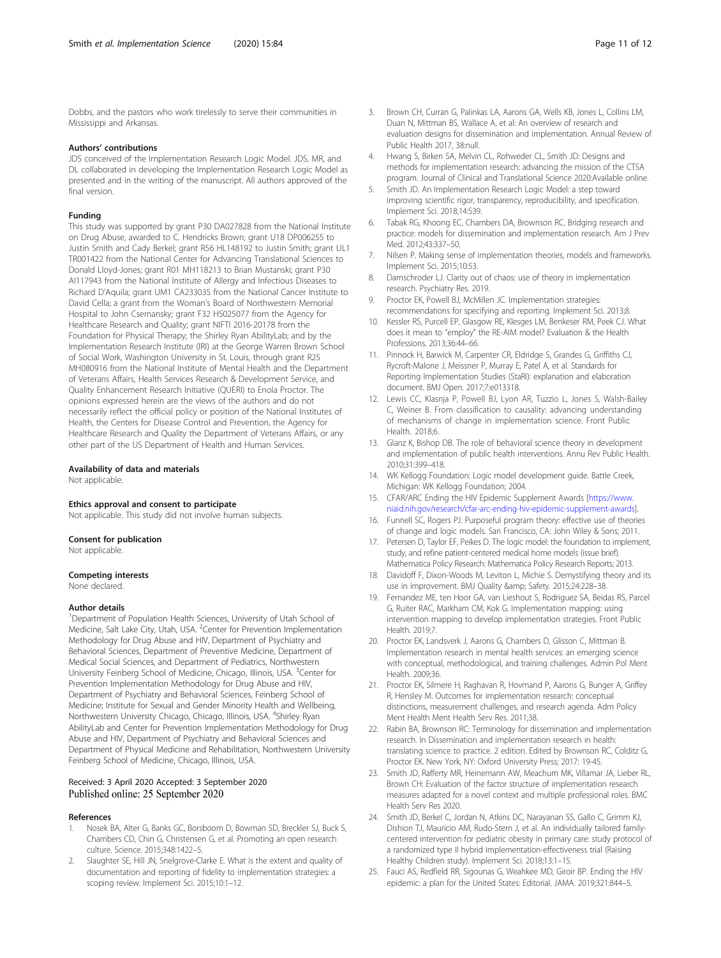#### <span id="page-10-0"></span>Authors' contributions

JDS conceived of the Implementation Research Logic Model. JDS, MR, and DL collaborated in developing the Implementation Research Logic Model as presented and in the writing of the manuscript. All authors approved of the final version.

#### Funding

This study was supported by grant P30 DA027828 from the National Institute on Drug Abuse, awarded to C. Hendricks Brown; grant U18 DP006255 to Justin Smith and Cady Berkel; grant R56 HL148192 to Justin Smith; grant UL1 TR001422 from the National Center for Advancing Translational Sciences to Donald Lloyd-Jones; grant R01 MH118213 to Brian Mustanski; grant P30 AI117943 from the National Institute of Allergy and Infectious Diseases to Richard D'Aquila; grant UM1 CA233035 from the National Cancer Institute to David Cella; a grant from the Woman's Board of Northwestern Memorial Hospital to John Csernansky; grant F32 HS025077 from the Agency for Healthcare Research and Quality; grant NIFTI 2016-20178 from the Foundation for Physical Therapy; the Shirley Ryan AbilityLab; and by the Implementation Research Institute (IRI) at the George Warren Brown School of Social Work, Washington University in St. Louis, through grant R25 MH080916 from the National Institute of Mental Health and the Department of Veterans Affairs, Health Services Research & Development Service, and Quality Enhancement Research Initiative (QUERI) to Enola Proctor. The opinions expressed herein are the views of the authors and do not necessarily reflect the official policy or position of the National Institutes of Health, the Centers for Disease Control and Prevention, the Agency for Healthcare Research and Quality the Department of Veterans Affairs, or any other part of the US Department of Health and Human Services.

#### Availability of data and materials

Not applicable.

#### Ethics approval and consent to participate

Not applicable. This study did not involve human subjects.

#### Consent for publication

Not applicable.

#### Competing interests

None declared.

#### Author details

<sup>1</sup>Department of Population Health Sciences, University of Utah School of Medicine, Salt Lake City, Utah, USA. <sup>2</sup> Center for Prevention Implementation Methodology for Drug Abuse and HIV, Department of Psychiatry and Behavioral Sciences, Department of Preventive Medicine, Department of Medical Social Sciences, and Department of Pediatrics, Northwestern University Feinberg School of Medicine, Chicago, Illinois, USA. <sup>3</sup>Center for Prevention Implementation Methodology for Drug Abuse and HIV, Department of Psychiatry and Behavioral Sciences, Feinberg School of Medicine; Institute for Sexual and Gender Minority Health and Wellbeing, Northwestern University Chicago, Chicago, Illinois, USA. <sup>4</sup>Shirley Ryan AbilityLab and Center for Prevention Implementation Methodology for Drug Abuse and HIV, Department of Psychiatry and Behavioral Sciences and Department of Physical Medicine and Rehabilitation, Northwestern University Feinberg School of Medicine, Chicago, Illinois, USA.

#### Received: 3 April 2020 Accepted: 3 September 2020 Published online: 25 September 2020

#### References

- 1. Nosek BA, Alter G, Banks GC, Borsboom D, Bowman SD, Breckler SJ, Buck S, Chambers CD, Chin G, Christensen G, et al. Promoting an open research culture. Science. 2015;348:1422–5.
- Slaughter SE, Hill JN, Snelgrove-Clarke E. What is the extent and quality of documentation and reporting of fidelity to implementation strategies: a scoping review. Implement Sci. 2015;10:1–12.
- Brown CH, Curran G, Palinkas LA, Aarons GA, Wells KB, Jones L, Collins LM, Duan N, Mittman BS, Wallace A, et al: An overview of research and evaluation designs for dissemination and implementation. Annual Review of Public Health 2017, 38:null.
- 4. Hwang S, Birken SA, Melvin CL, Rohweder CL, Smith JD: Designs and methods for implementation research: advancing the mission of the CTSA program. Journal of Clinical and Translational Science 2020:Available online.
- 5. Smith JD. An Implementation Research Logic Model: a step toward improving scientific rigor, transparency, reproducibility, and specification. Implement Sci. 2018;14:S39.
- Tabak RG, Khoong EC, Chambers DA, Brownson RC. Bridging research and practice: models for dissemination and implementation research. Am J Prev Med. 2012;43:337–50.
- 7. Nilsen P. Making sense of implementation theories, models and frameworks. Implement Sci. 2015;10:53.
- 8. Damschroder LJ. Clarity out of chaos: use of theory in implementation research. Psychiatry Res. 2019.
- 9. Proctor EK, Powell BJ, McMillen JC. Implementation strategies: recommendations for specifying and reporting. Implement Sci. 2013;8.
- 10. Kessler RS, Purcell EP, Glasgow RE, Klesges LM, Benkeser RM, Peek CJ. What does it mean to "employ" the RE-AIM model? Evaluation & the Health Professions. 2013;36:44–66.
- 11. Pinnock H, Barwick M, Carpenter CR, Eldridge S, Grandes G, Griffiths CJ, Rycroft-Malone J, Meissner P, Murray E, Patel A, et al. Standards for Reporting Implementation Studies (StaRI): explanation and elaboration document. BMJ Open. 2017;7:e013318.
- 12. Lewis CC, Klasnja P, Powell BJ, Lyon AR, Tuzzio L, Jones S, Walsh-Bailey C, Weiner B. From classification to causality: advancing understanding of mechanisms of change in implementation science. Front Public Health. 2018;6.
- 13. Glanz K, Bishop DB. The role of behavioral science theory in development and implementation of public health interventions. Annu Rev Public Health. 2010;31:399–418.
- 14. WK Kellogg Foundation: Logic model development guide. Battle Creek, Michigan: WK Kellogg Foundation; 2004.
- 15. CFAR/ARC Ending the HIV Epidemic Supplement Awards [[https://www.](https://www.niaid.nih.gov/research/cfar-arc-ending-hiv-epidemic-supplement-awards) [niaid.nih.gov/research/cfar-arc-ending-hiv-epidemic-supplement-awards\]](https://www.niaid.nih.gov/research/cfar-arc-ending-hiv-epidemic-supplement-awards).
- 16. Funnell SC, Rogers PJ. Purposeful program theory: effective use of theories of change and logic models. San Francisco, CA: John Wiley & Sons; 2011.
- 17. Petersen D, Taylor EF, Peikes D. The logic model: the foundation to implement, study, and refine patient-centered medical home models (issue brief). Mathematica Policy Research: Mathematica Policy Research Reports; 2013.
- 18. Davidoff F, Dixon-Woods M, Leviton L, Michie S. Demystifying theory and its use in improvement. BMJ Quality & amp; Safety. 2015;24:228-38.
- 19. Fernandez ME, ten Hoor GA, van Lieshout S, Rodriguez SA, Beidas RS, Parcel G, Ruiter RAC, Markham CM, Kok G. Implementation mapping: using intervention mapping to develop implementation strategies. Front Public Health. 2019;7.
- 20. Proctor EK, Landsverk J, Aarons G, Chambers D, Glisson C, Mittman B. Implementation research in mental health services: an emerging science with conceptual, methodological, and training challenges. Admin Pol Ment Health. 2009;36.
- 21. Proctor EK, Silmere H, Raghavan R, Hovmand P, Aarons G, Bunger A, Griffey R, Hensley M. Outcomes for implementation research: conceptual distinctions, measurement challenges, and research agenda. Adm Policy Ment Health Ment Health Serv Res. 2011;38.
- 22. Rabin BA, Brownson RC: Terminology for dissemination and implementation research. In Dissemination and implementation research in health: translating science to practice. 2 edition. Edited by Brownson RC, Colditz G, Proctor EK. New York, NY: Oxford University Press; 2017: 19-45.
- 23. Smith JD, Rafferty MR, Heinemann AW, Meachum MK, Villamar JA, Lieber RL, Brown CH: Evaluation of the factor structure of implementation research measures adapted for a novel context and multiple professional roles. BMC Health Serv Res 2020.
- 24. Smith JD, Berkel C, Jordan N, Atkins DC, Narayanan SS, Gallo C, Grimm KJ, Dishion TJ, Mauricio AM, Rudo-Stern J, et al. An individually tailored familycentered intervention for pediatric obesity in primary care: study protocol of a randomized type II hybrid implementation-effectiveness trial (Raising Healthy Children study). Implement Sci. 2018;13:1–15.
- 25. Fauci AS, Redfield RR, Sigounas G, Weahkee MD, Giroir BP. Ending the HIV epidemic: a plan for the United States: Editorial. JAMA. 2019;321:844–5.